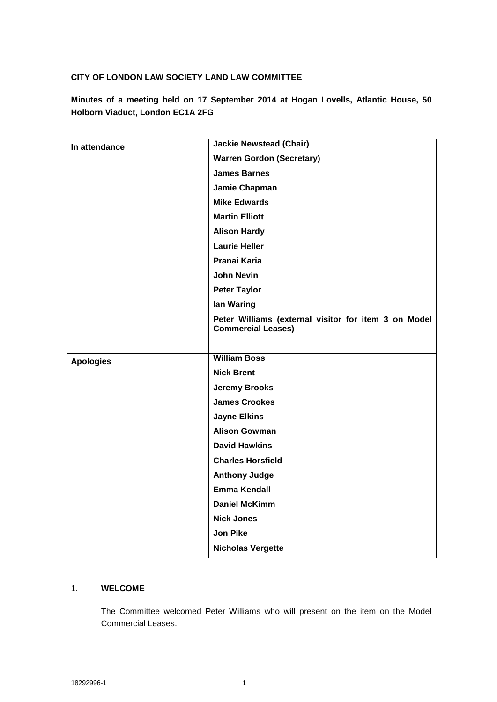### **CITY OF LONDON LAW SOCIETY LAND LAW COMMITTEE**

**Minutes of a meeting held on 17 September 2014 at Hogan Lovells, Atlantic House, 50 Holborn Viaduct, London EC1A 2FG**

| In attendance    | <b>Jackie Newstead (Chair)</b>                                                    |
|------------------|-----------------------------------------------------------------------------------|
|                  | <b>Warren Gordon (Secretary)</b>                                                  |
|                  | <b>James Barnes</b>                                                               |
|                  | Jamie Chapman                                                                     |
|                  | <b>Mike Edwards</b>                                                               |
|                  | <b>Martin Elliott</b>                                                             |
|                  | <b>Alison Hardy</b>                                                               |
|                  | <b>Laurie Heller</b>                                                              |
|                  | Pranai Karia                                                                      |
|                  | <b>John Nevin</b>                                                                 |
|                  | <b>Peter Taylor</b>                                                               |
|                  | lan Waring                                                                        |
|                  | Peter Williams (external visitor for item 3 on Model<br><b>Commercial Leases)</b> |
|                  |                                                                                   |
| <b>Apologies</b> | <b>William Boss</b>                                                               |
|                  | <b>Nick Brent</b>                                                                 |
|                  | <b>Jeremy Brooks</b>                                                              |
|                  | <b>James Crookes</b>                                                              |
|                  | <b>Jayne Elkins</b>                                                               |
|                  | <b>Alison Gowman</b>                                                              |
|                  | <b>David Hawkins</b>                                                              |
|                  | <b>Charles Horsfield</b>                                                          |
|                  | <b>Anthony Judge</b>                                                              |
|                  | Emma Kendall                                                                      |
|                  | <b>Daniel McKimm</b>                                                              |
|                  | <b>Nick Jones</b>                                                                 |
|                  | <b>Jon Pike</b>                                                                   |
|                  | <b>Nicholas Vergette</b>                                                          |

### 1. **WELCOME**

The Committee welcomed Peter Williams who will present on the item on the Model Commercial Leases.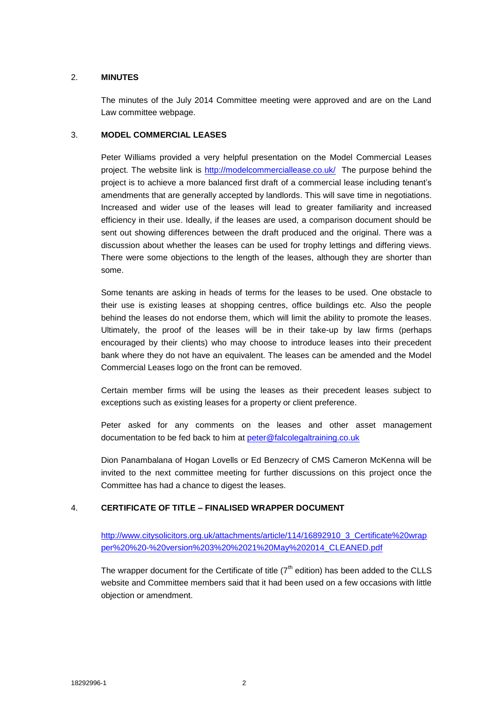### 2. **MINUTES**

The minutes of the July 2014 Committee meeting were approved and are on the Land Law committee webpage.

#### 3. **MODEL COMMERCIAL LEASES**

Peter Williams provided a very helpful presentation on the Model Commercial Leases project. The website link is<http://modelcommerciallease.co.uk/>The purpose behind the project is to achieve a more balanced first draft of a commercial lease including tenant's amendments that are generally accepted by landlords. This will save time in negotiations. Increased and wider use of the leases will lead to greater familiarity and increased efficiency in their use. Ideally, if the leases are used, a comparison document should be sent out showing differences between the draft produced and the original. There was a discussion about whether the leases can be used for trophy lettings and differing views. There were some objections to the length of the leases, although they are shorter than some.

Some tenants are asking in heads of terms for the leases to be used. One obstacle to their use is existing leases at shopping centres, office buildings etc. Also the people behind the leases do not endorse them, which will limit the ability to promote the leases. Ultimately, the proof of the leases will be in their take-up by law firms (perhaps encouraged by their clients) who may choose to introduce leases into their precedent bank where they do not have an equivalent. The leases can be amended and the Model Commercial Leases logo on the front can be removed.

Certain member firms will be using the leases as their precedent leases subject to exceptions such as existing leases for a property or client preference.

Peter asked for any comments on the leases and other asset management documentation to be fed back to him at [peter@falcolegaltraining.co.uk](mailto:peter@falcolegaltraining.co.uk)

Dion Panambalana of Hogan Lovells or Ed Benzecry of CMS Cameron McKenna will be invited to the next committee meeting for further discussions on this project once the Committee has had a chance to digest the leases.

### 4. **CERTIFICATE OF TITLE – FINALISED WRAPPER DOCUMENT**

[http://www.citysolicitors.org.uk/attachments/article/114/16892910\\_3\\_Certificate%20wrap](http://www.citysolicitors.org.uk/attachments/article/114/16892910_3_Certificate%20wrapper%20%20-%20version%203%20%2021%20May%202014_CLEANED.pdf) [per%20%20-%20version%203%20%2021%20May%202014\\_CLEANED.pdf](http://www.citysolicitors.org.uk/attachments/article/114/16892910_3_Certificate%20wrapper%20%20-%20version%203%20%2021%20May%202014_CLEANED.pdf)

The wrapper document for the Certificate of title  $(7<sup>th</sup>$  edition) has been added to the CLLS website and Committee members said that it had been used on a few occasions with little objection or amendment.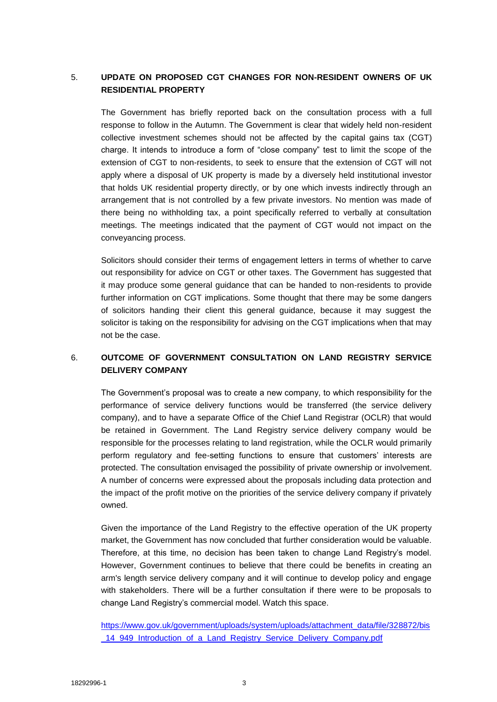## 5. **UPDATE ON PROPOSED CGT CHANGES FOR NON-RESIDENT OWNERS OF UK RESIDENTIAL PROPERTY**

The Government has briefly reported back on the consultation process with a full response to follow in the Autumn. The Government is clear that widely held non-resident collective investment schemes should not be affected by the capital gains tax (CGT) charge. It intends to introduce a form of "close company" test to limit the scope of the extension of CGT to non-residents, to seek to ensure that the extension of CGT will not apply where a disposal of UK property is made by a diversely held institutional investor that holds UK residential property directly, or by one which invests indirectly through an arrangement that is not controlled by a few private investors. No mention was made of there being no withholding tax, a point specifically referred to verbally at consultation meetings. The meetings indicated that the payment of CGT would not impact on the conveyancing process.

Solicitors should consider their terms of engagement letters in terms of whether to carve out responsibility for advice on CGT or other taxes. The Government has suggested that it may produce some general guidance that can be handed to non-residents to provide further information on CGT implications. Some thought that there may be some dangers of solicitors handing their client this general guidance, because it may suggest the solicitor is taking on the responsibility for advising on the CGT implications when that may not be the case.

## 6. **OUTCOME OF GOVERNMENT CONSULTATION ON LAND REGISTRY SERVICE DELIVERY COMPANY**

The Government's proposal was to create a new company, to which responsibility for the performance of service delivery functions would be transferred (the service delivery company), and to have a separate Office of the Chief Land Registrar (OCLR) that would be retained in Government. The Land Registry service delivery company would be responsible for the processes relating to land registration, while the OCLR would primarily perform regulatory and fee-setting functions to ensure that customers' interests are protected. The consultation envisaged the possibility of private ownership or involvement. A number of concerns were expressed about the proposals including data protection and the impact of the profit motive on the priorities of the service delivery company if privately owned.

Given the importance of the Land Registry to the effective operation of the UK property market, the Government has now concluded that further consideration would be valuable. Therefore, at this time, no decision has been taken to change Land Registry's model. However, Government continues to believe that there could be benefits in creating an arm's length service delivery company and it will continue to develop policy and engage with stakeholders. There will be a further consultation if there were to be proposals to change Land Registry's commercial model. Watch this space.

[https://www.gov.uk/government/uploads/system/uploads/attachment\\_data/file/328872/bis](https://www.gov.uk/government/uploads/system/uploads/attachment_data/file/328872/bis_14_949_Introduction_of_a_Land_Registry_Service_Delivery_Company.pdf) 14\_949\_Introduction\_of\_a\_Land\_Registry\_Service\_Delivery\_Company.pdf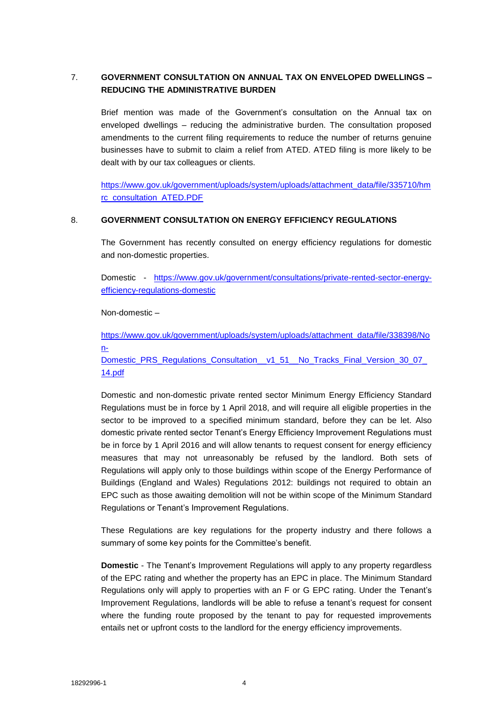# 7. **GOVERNMENT CONSULTATION ON ANNUAL TAX ON ENVELOPED DWELLINGS – REDUCING THE ADMINISTRATIVE BURDEN**

Brief mention was made of the Government's consultation on the Annual tax on enveloped dwellings – reducing the administrative burden. The consultation proposed amendments to the current filing requirements to reduce the number of returns genuine businesses have to submit to claim a relief from ATED. ATED filing is more likely to be dealt with by our tax colleagues or clients.

[https://www.gov.uk/government/uploads/system/uploads/attachment\\_data/file/335710/hm](https://www.gov.uk/government/uploads/system/uploads/attachment_data/file/335710/hmrc_consultation_ATED.PDF) [rc\\_consultation\\_ATED.PDF](https://www.gov.uk/government/uploads/system/uploads/attachment_data/file/335710/hmrc_consultation_ATED.PDF) 

### 8. **GOVERNMENT CONSULTATION ON ENERGY EFFICIENCY REGULATIONS**

The Government has recently consulted on energy efficiency regulations for domestic and non-domestic properties.

Domestic - [https://www.gov.uk/government/consultations/private-rented-sector-energy](https://www.gov.uk/government/consultations/private-rented-sector-energy-efficiency-regulations-domestic)[efficiency-regulations-domestic](https://www.gov.uk/government/consultations/private-rented-sector-energy-efficiency-regulations-domestic)

Non-domestic –

[https://www.gov.uk/government/uploads/system/uploads/attachment\\_data/file/338398/No](https://www.gov.uk/government/uploads/system/uploads/attachment_data/file/338398/Non-Domestic_PRS_Regulations_Consultation__v1_51__No_Tracks_Final_Version_30_07_14.pdf) [n-](https://www.gov.uk/government/uploads/system/uploads/attachment_data/file/338398/Non-Domestic_PRS_Regulations_Consultation__v1_51__No_Tracks_Final_Version_30_07_14.pdf)

[Domestic\\_PRS\\_Regulations\\_Consultation\\_\\_v1\\_51\\_\\_No\\_Tracks\\_Final\\_Version\\_30\\_07\\_](https://www.gov.uk/government/uploads/system/uploads/attachment_data/file/338398/Non-Domestic_PRS_Regulations_Consultation__v1_51__No_Tracks_Final_Version_30_07_14.pdf) [14.pdf](https://www.gov.uk/government/uploads/system/uploads/attachment_data/file/338398/Non-Domestic_PRS_Regulations_Consultation__v1_51__No_Tracks_Final_Version_30_07_14.pdf)

Domestic and non-domestic private rented sector Minimum Energy Efficiency Standard Regulations must be in force by 1 April 2018, and will require all eligible properties in the sector to be improved to a specified minimum standard, before they can be let. Also domestic private rented sector Tenant's Energy Efficiency Improvement Regulations must be in force by 1 April 2016 and will allow tenants to request consent for energy efficiency measures that may not unreasonably be refused by the landlord. Both sets of Regulations will apply only to those buildings within scope of the Energy Performance of Buildings (England and Wales) Regulations 2012: buildings not required to obtain an EPC such as those awaiting demolition will not be within scope of the Minimum Standard Regulations or Tenant's Improvement Regulations.

These Regulations are key regulations for the property industry and there follows a summary of some key points for the Committee's benefit.

**Domestic** - The Tenant's Improvement Regulations will apply to any property regardless of the EPC rating and whether the property has an EPC in place. The Minimum Standard Regulations only will apply to properties with an F or G EPC rating. Under the Tenant's Improvement Regulations, landlords will be able to refuse a tenant's request for consent where the funding route proposed by the tenant to pay for requested improvements entails net or upfront costs to the landlord for the energy efficiency improvements.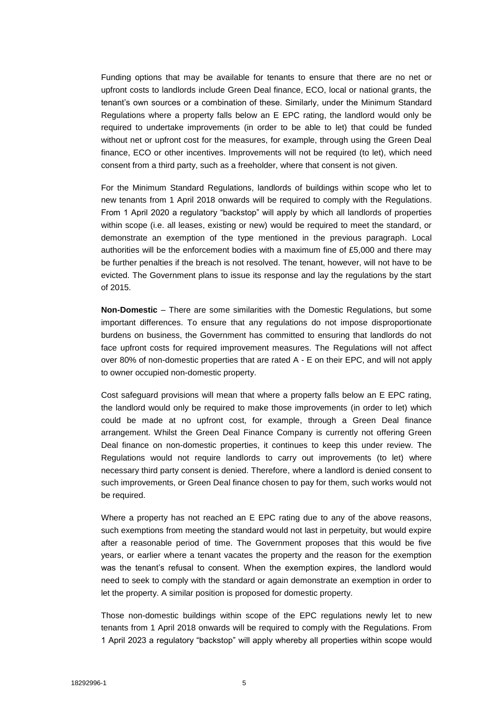Funding options that may be available for tenants to ensure that there are no net or upfront costs to landlords include Green Deal finance, ECO, local or national grants, the tenant's own sources or a combination of these. Similarly, under the Minimum Standard Regulations where a property falls below an E EPC rating, the landlord would only be required to undertake improvements (in order to be able to let) that could be funded without net or upfront cost for the measures, for example, through using the Green Deal finance, ECO or other incentives. Improvements will not be required (to let), which need consent from a third party, such as a freeholder, where that consent is not given.

For the Minimum Standard Regulations, landlords of buildings within scope who let to new tenants from 1 April 2018 onwards will be required to comply with the Regulations. From 1 April 2020 a regulatory "backstop" will apply by which all landlords of properties within scope (i.e. all leases, existing or new) would be required to meet the standard, or demonstrate an exemption of the type mentioned in the previous paragraph. Local authorities will be the enforcement bodies with a maximum fine of £5,000 and there may be further penalties if the breach is not resolved. The tenant, however, will not have to be evicted. The Government plans to issue its response and lay the regulations by the start of 2015.

**Non-Domestic** – There are some similarities with the Domestic Regulations, but some important differences. To ensure that any regulations do not impose disproportionate burdens on business, the Government has committed to ensuring that landlords do not face upfront costs for required improvement measures. The Regulations will not affect over 80% of non-domestic properties that are rated A - E on their EPC, and will not apply to owner occupied non-domestic property.

Cost safeguard provisions will mean that where a property falls below an E EPC rating, the landlord would only be required to make those improvements (in order to let) which could be made at no upfront cost, for example, through a Green Deal finance arrangement. Whilst the Green Deal Finance Company is currently not offering Green Deal finance on non-domestic properties, it continues to keep this under review. The Regulations would not require landlords to carry out improvements (to let) where necessary third party consent is denied. Therefore, where a landlord is denied consent to such improvements, or Green Deal finance chosen to pay for them, such works would not be required.

Where a property has not reached an E EPC rating due to any of the above reasons, such exemptions from meeting the standard would not last in perpetuity, but would expire after a reasonable period of time. The Government proposes that this would be five years, or earlier where a tenant vacates the property and the reason for the exemption was the tenant's refusal to consent. When the exemption expires, the landlord would need to seek to comply with the standard or again demonstrate an exemption in order to let the property. A similar position is proposed for domestic property.

Those non-domestic buildings within scope of the EPC regulations newly let to new tenants from 1 April 2018 onwards will be required to comply with the Regulations. From 1 April 2023 a regulatory "backstop" will apply whereby all properties within scope would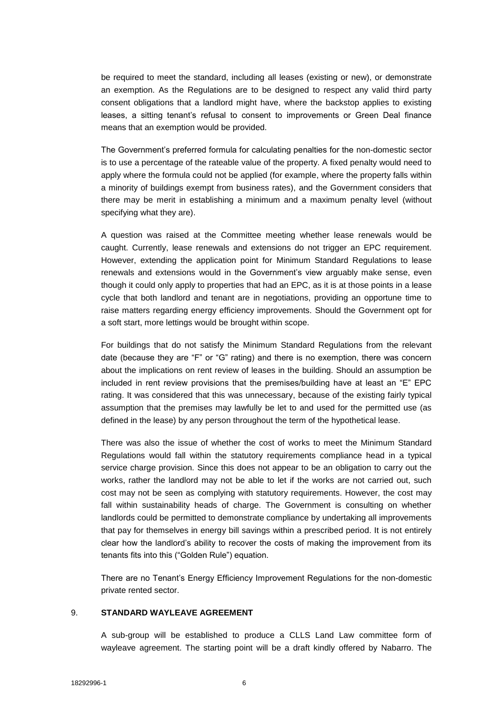be required to meet the standard, including all leases (existing or new), or demonstrate an exemption. As the Regulations are to be designed to respect any valid third party consent obligations that a landlord might have, where the backstop applies to existing leases, a sitting tenant's refusal to consent to improvements or Green Deal finance means that an exemption would be provided.

The Government's preferred formula for calculating penalties for the non-domestic sector is to use a percentage of the rateable value of the property. A fixed penalty would need to apply where the formula could not be applied (for example, where the property falls within a minority of buildings exempt from business rates), and the Government considers that there may be merit in establishing a minimum and a maximum penalty level (without specifying what they are).

A question was raised at the Committee meeting whether lease renewals would be caught. Currently, lease renewals and extensions do not trigger an EPC requirement. However, extending the application point for Minimum Standard Regulations to lease renewals and extensions would in the Government's view arguably make sense, even though it could only apply to properties that had an EPC, as it is at those points in a lease cycle that both landlord and tenant are in negotiations, providing an opportune time to raise matters regarding energy efficiency improvements. Should the Government opt for a soft start, more lettings would be brought within scope.

For buildings that do not satisfy the Minimum Standard Regulations from the relevant date (because they are "F" or "G" rating) and there is no exemption, there was concern about the implications on rent review of leases in the building. Should an assumption be included in rent review provisions that the premises/building have at least an "E" EPC rating. It was considered that this was unnecessary, because of the existing fairly typical assumption that the premises may lawfully be let to and used for the permitted use (as defined in the lease) by any person throughout the term of the hypothetical lease.

There was also the issue of whether the cost of works to meet the Minimum Standard Regulations would fall within the statutory requirements compliance head in a typical service charge provision. Since this does not appear to be an obligation to carry out the works, rather the landlord may not be able to let if the works are not carried out, such cost may not be seen as complying with statutory requirements. However, the cost may fall within sustainability heads of charge. The Government is consulting on whether landlords could be permitted to demonstrate compliance by undertaking all improvements that pay for themselves in energy bill savings within a prescribed period. It is not entirely clear how the landlord's ability to recover the costs of making the improvement from its tenants fits into this ("Golden Rule") equation.

There are no Tenant's Energy Efficiency Improvement Regulations for the non-domestic private rented sector.

#### 9. **STANDARD WAYLEAVE AGREEMENT**

A sub-group will be established to produce a CLLS Land Law committee form of wayleave agreement. The starting point will be a draft kindly offered by Nabarro. The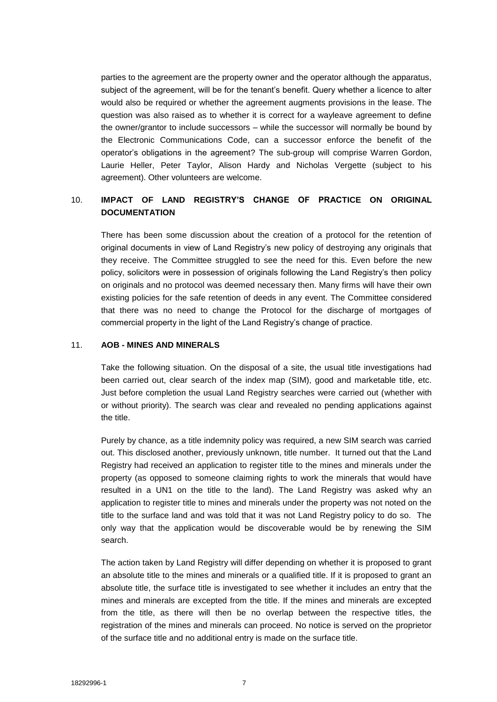parties to the agreement are the property owner and the operator although the apparatus, subject of the agreement, will be for the tenant's benefit. Query whether a licence to alter would also be required or whether the agreement augments provisions in the lease. The question was also raised as to whether it is correct for a wayleave agreement to define the owner/grantor to include successors – while the successor will normally be bound by the Electronic Communications Code, can a successor enforce the benefit of the operator's obligations in the agreement? The sub-group will comprise Warren Gordon, Laurie Heller, Peter Taylor, Alison Hardy and Nicholas Vergette (subject to his agreement). Other volunteers are welcome.

# 10. **IMPACT OF LAND REGISTRY'S CHANGE OF PRACTICE ON ORIGINAL DOCUMENTATION**

There has been some discussion about the creation of a protocol for the retention of original documents in view of Land Registry's new policy of destroying any originals that they receive. The Committee struggled to see the need for this. Even before the new policy, solicitors were in possession of originals following the Land Registry's then policy on originals and no protocol was deemed necessary then. Many firms will have their own existing policies for the safe retention of deeds in any event. The Committee considered that there was no need to change the Protocol for the discharge of mortgages of commercial property in the light of the Land Registry's change of practice.

### 11. **AOB - MINES AND MINERALS**

Take the following situation. On the disposal of a site, the usual title investigations had been carried out, clear search of the index map (SIM), good and marketable title, etc. Just before completion the usual Land Registry searches were carried out (whether with or without priority). The search was clear and revealed no pending applications against the title.

Purely by chance, as a title indemnity policy was required, a new SIM search was carried out. This disclosed another, previously unknown, title number. It turned out that the Land Registry had received an application to register title to the mines and minerals under the property (as opposed to someone claiming rights to work the minerals that would have resulted in a UN1 on the title to the land). The Land Registry was asked why an application to register title to mines and minerals under the property was not noted on the title to the surface land and was told that it was not Land Registry policy to do so. The only way that the application would be discoverable would be by renewing the SIM search.

The action taken by Land Registry will differ depending on whether it is proposed to grant an absolute title to the mines and minerals or a qualified title. If it is proposed to grant an absolute title, the surface title is investigated to see whether it includes an entry that the mines and minerals are excepted from the title. If the mines and minerals are excepted from the title, as there will then be no overlap between the respective titles, the registration of the mines and minerals can proceed. No notice is served on the proprietor of the surface title and no additional entry is made on the surface title.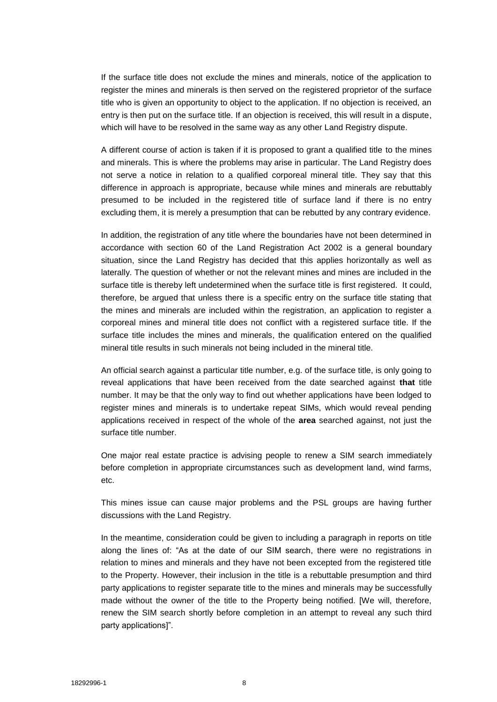If the surface title does not exclude the mines and minerals, notice of the application to register the mines and minerals is then served on the registered proprietor of the surface title who is given an opportunity to object to the application. If no objection is received, an entry is then put on the surface title. If an objection is received, this will result in a dispute, which will have to be resolved in the same way as any other Land Registry dispute.

A different course of action is taken if it is proposed to grant a qualified title to the mines and minerals. This is where the problems may arise in particular. The Land Registry does not serve a notice in relation to a qualified corporeal mineral title. They say that this difference in approach is appropriate, because while mines and minerals are rebuttably presumed to be included in the registered title of surface land if there is no entry excluding them, it is merely a presumption that can be rebutted by any contrary evidence.

In addition, the registration of any title where the boundaries have not been determined in accordance with section 60 of the Land Registration Act 2002 is a general boundary situation, since the Land Registry has decided that this applies horizontally as well as laterally. The question of whether or not the relevant mines and mines are included in the surface title is thereby left undetermined when the surface title is first registered. It could, therefore, be argued that unless there is a specific entry on the surface title stating that the mines and minerals are included within the registration, an application to register a corporeal mines and mineral title does not conflict with a registered surface title. If the surface title includes the mines and minerals, the qualification entered on the qualified mineral title results in such minerals not being included in the mineral title.

An official search against a particular title number, e.g. of the surface title, is only going to reveal applications that have been received from the date searched against **that** title number. It may be that the only way to find out whether applications have been lodged to register mines and minerals is to undertake repeat SIMs, which would reveal pending applications received in respect of the whole of the **area** searched against, not just the surface title number.

One major real estate practice is advising people to renew a SIM search immediately before completion in appropriate circumstances such as development land, wind farms, etc.

This mines issue can cause major problems and the PSL groups are having further discussions with the Land Registry.

In the meantime, consideration could be given to including a paragraph in reports on title along the lines of: "As at the date of our SIM search, there were no registrations in relation to mines and minerals and they have not been excepted from the registered title to the Property. However, their inclusion in the title is a rebuttable presumption and third party applications to register separate title to the mines and minerals may be successfully made without the owner of the title to the Property being notified. [We will, therefore, renew the SIM search shortly before completion in an attempt to reveal any such third party applications]".